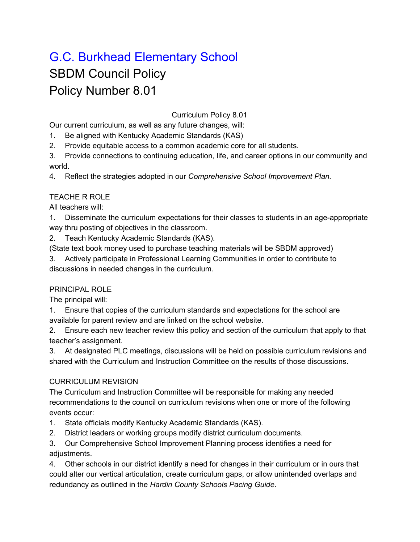# G.C. Burkhead Elementary School SBDM Council Policy Policy Number 8.01

#### Curriculum Policy 8.01

Our current curriculum, as well as any future changes, will:

1. Be aligned with Kentucky Academic Standards (KAS)

2. Provide equitable access to a common academic core for all students.

3. Provide connections to continuing education, life, and career options in our community and world.

4. Reflect the strategies adopted in our *Comprehensive School Improvement Plan.*

#### TEACHE R ROLE

All teachers will:

1. Disseminate the curriculum expectations for their classes to students in an age-appropriate way thru posting of objectives in the classroom.

2. Teach Kentucky Academic Standards (KAS).

(State text book money used to purchase teaching materials will be SBDM approved)

3. Actively participate in Professional Learning Communities in order to contribute to discussions in needed changes in the curriculum.

## PRINCIPAL ROLE

The principal will:

1. Ensure that copies of the curriculum standards and expectations for the school are available for parent review and are linked on the school website.

2. Ensure each new teacher review this policy and section of the curriculum that apply to that teacher's assignment.

3. At designated PLC meetings, discussions will be held on possible curriculum revisions and shared with the Curriculum and Instruction Committee on the results of those discussions.

## CURRICULUM REVISION

The Curriculum and Instruction Committee will be responsible for making any needed recommendations to the council on curriculum revisions when one or more of the following events occur:

- 1. State officials modify Kentucky Academic Standards (KAS).
- 2. District leaders or working groups modify district curriculum documents.

3. Our Comprehensive School Improvement Planning process identifies a need for adiustments.

4. Other schools in our district identify a need for changes in their curriculum or in ours that could alter our vertical articulation, create curriculum gaps, or allow unintended overlaps and redundancy as outlined in the *Hardin County Schools Pacing Guide*.